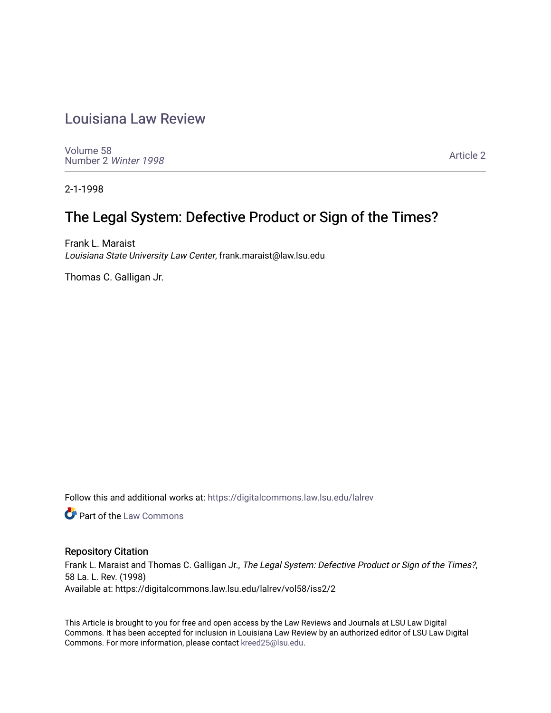## [Louisiana Law Review](https://digitalcommons.law.lsu.edu/lalrev)

[Volume 58](https://digitalcommons.law.lsu.edu/lalrev/vol58) [Number 2](https://digitalcommons.law.lsu.edu/lalrev/vol58/iss2) Winter 1998

[Article 2](https://digitalcommons.law.lsu.edu/lalrev/vol58/iss2/2) 

2-1-1998

## The Legal System: Defective Product or Sign of the Times?

Frank L. Maraist Louisiana State University Law Center, frank.maraist@law.lsu.edu

Thomas C. Galligan Jr.

Follow this and additional works at: [https://digitalcommons.law.lsu.edu/lalrev](https://digitalcommons.law.lsu.edu/lalrev?utm_source=digitalcommons.law.lsu.edu%2Flalrev%2Fvol58%2Fiss2%2F2&utm_medium=PDF&utm_campaign=PDFCoverPages)

**C** Part of the [Law Commons](https://network.bepress.com/hgg/discipline/578?utm_source=digitalcommons.law.lsu.edu%2Flalrev%2Fvol58%2Fiss2%2F2&utm_medium=PDF&utm_campaign=PDFCoverPages)

## Repository Citation

Frank L. Maraist and Thomas C. Galligan Jr., The Legal System: Defective Product or Sign of the Times?, 58 La. L. Rev. (1998) Available at: https://digitalcommons.law.lsu.edu/lalrev/vol58/iss2/2

This Article is brought to you for free and open access by the Law Reviews and Journals at LSU Law Digital Commons. It has been accepted for inclusion in Louisiana Law Review by an authorized editor of LSU Law Digital Commons. For more information, please contact [kreed25@lsu.edu](mailto:kreed25@lsu.edu).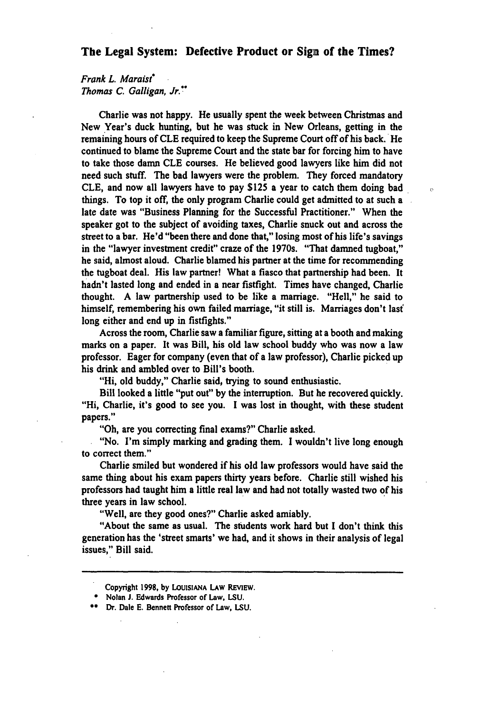## **The Legal System: Defective Product or Sign of the Times?**

*FrankL. Maraist Thomas C. Galligan,Jr."* 

Charlie was not happy. He usually spent the week between Christmas and New Year's duck hunting, but he was stuck in New Orleans, getting in the remaining hours of **CLE** required to keep the Supreme Court off of his back. He continued to blame the Supreme Court and the state bar for forcing him to have to take those damn **CLE** courses. He believed good lawyers like him did not need such stuff. The bad lawyers were the problem. They forced mandatory **CLE,** and now all lawyers have to pay **\$125** a year to catch them doing bad things. To top it off, the only program Charlie could get admitted to at such a late date was "Business Planning for the Successful Practitioner." When the speaker got to the subject of avoiding taxes, Charlie snuck out and across the street to a bar. He'd "been there and done that," losing most of his life's savings in the "lawyer investment credit" craze of the 1970s. "That damned tugboat," he said, almost aloud. Charlie blamed his partner at the time for recommending the tugboat deal. His law partner! What a fiasco that partnership had been. It hadn't lasted long and ended in a near fistfight. Times have changed, Charlie thought. **A** law partnership used to be like a marriage. "Hell," he said to himself, remembering his own failed marriage, "it still is. Marriages don't last long either and end up in fistfights."

 $\overline{D}$ 

Across the room, Charlie saw a familiar figure, sitting at a booth and making marks on a paper. It was Bill, his old law school buddy who was now a law professor. Eager for company (even that of a law professor), Charlie picked up his drink and ambled over to Bill's booth.

"Hi, old buddy," Charlie said, trying to sound enthusiastic.

Bill looked a little "put out" **by** the interruption. But he recovered quickly. "Hi, Charlie, it's good to see you. I was lost in thought, with these student papers."

"Oh, are you correcting final exams?" Charlie asked.

"No. I'm simply marking and grading them. **I** wouldn't live long enough to correct them."

Charlie smiled but wondered if his old law professors would have said the same thing about his exam papers thirty years before. Charlie still wished his professors had taught him a little real law and had not totally wasted two of his three years in law school.

"Well, are they good ones?" Charlie asked amiably.

"About the same as usual. The students work hard but I don't think this generation has the 'street smarts' we had, and it shows in their analysis of legal issues," Bill said.

Copyright **1998, by LOUISIANA LAW REVIEW.** 

Nolan **J.** Edwards Professor of Law, **LSU.** 

**<sup>\*</sup>** Dr. Dale **E.** Bennett Professor of Law, **LSU.**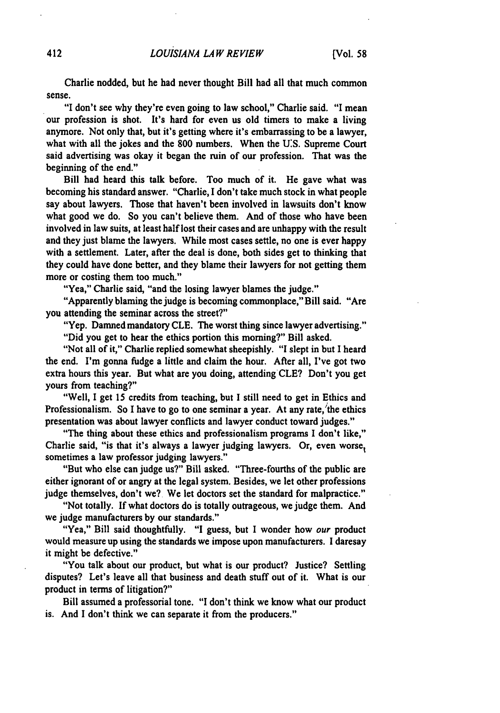Charlie nodded, but he had never thought Bill had all that much common sense.

"I don't see why they're even going to law school," Charlie said. "I mean our profession is shot. It's hard for even us old timers to make a living anymore. Not only that, but it's getting where it's embarrassing to be a lawyer, what with all the jokes and the **800** numbers. When the **U:S.** Supreme Court said advertising was okay it began the ruin of our profession. That was the beginning of the end."

Bill had heard this talk before. Too much of it. He gave what was becoming his standard answer. "Charlie, I don't take much stock in what people say about lawyers. Those that haven't been involved in lawsuits don't know what good we do. So you can't believe them. And of those who have been involved in law suits, at least half lost their cases and are unhappy with the result and they just blame the lawyers. While most cases settle, no one is ever happy with a settlement. Later, after the deal is done, both sides get to thinking that they could have done better, and they blame their lawyers for not getting them more or costing them too much."

"Yea," Charlie said, "and the losing lawyer blames the judge."

"Apparently blaming the judge is becoming commonplace," Bill said. "Are you attending the seminar across the street?"

"Yep. Damned mandatory **CLE.** The worst thing since lawyer advertising."

"Did you get to hear the ethics portion this morning?" Bill asked.

"Not all of it," Charlie replied somewhat sheepishly. **"I**slept in but **I** heard the end. I'm gonna fudge a little and claim the hour. After all, I've got two extra hours this year. But what are you doing, attending CLE? Don't you get yours from teaching?"

"Well, I get **15** credits from teaching, but I still need to get in Ethics and Professionalism. So **I** have to go to one seminar a year. At any rate,'the ethics presentation was about lawyer conflicts and lawyer conduct toward judges."

"The thing about these ethics and professionalism programs **I** don't like," Charlie said, "is that it's always a lawyer judging lawyers. Or, even worse, sometimes a law professor judging lawyers."

"But who else can judge us?" Bill asked. "Three-fourths of the public are either ignorant of or angry at the legal system. Besides, we let other professions judge themselves, don't we? We let doctors set the standard for malpractice."

"Not totally. **If** what doctors do is totally outrageous, we judge them. And we judge manufacturers **by** our standards."

"Yea," Bill said thoughtfully. **"I** guess, but **I** wonder how our product would measure up using the standards we impose upon manufacturers. I daresay it might be defective."

"You talk about our product, but what is our product? Justice? Settling disputes? Let's leave all that business and death stuff out of it. What is our product in terms of litigation?"

Bill assumed a professorial tone. **"I**don't think we know what our product is. And **I** don't think we can separate it from the producers."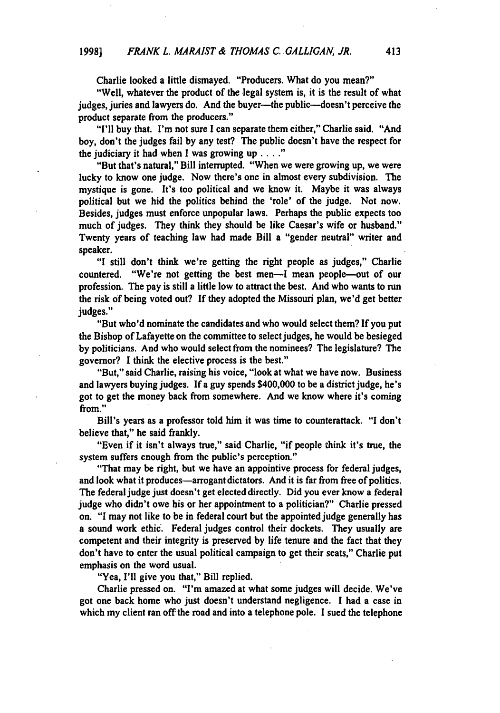Charlie looked a little dismayed. "Producers. What do you mean?"

"Well, whatever the product of the legal system is, it is the result of what judges, juries and lawyers do. And the buyer-the public--doesn't perceive the product separate from the producers."

"I'll buy that. I'm not sure **I** can separate them either," Charlie said. "And boy, don't the judges fail **by** any test? The public doesn't have the respect for the judiciary it had when **I** was growing up **....** 

"But that's natural," Bill interrupted. "When we were growing up, we were lucky to know one judge. Now there's one in almost every subdivision. The mystique is gone. It's too political and we know it. Maybe it was always political but we hid the politics behind the 'role' of the judge. Not now. Besides, judges must enforce unpopular laws. Perhaps the public expects too much of judges. They think they should be like Caesar's wife or husband." Twenty years of teaching law had made Bill a "gender neutral" writer and speaker.

**"I** still don't think we're getting the right people as judges," Charlie countered. "We're not getting the best men-I mean people-out of our profession. The pay is still a little low to attract the best. And who wants to run the risk **of** being voted out? **If** they adopted the Missouri plan, we'd get better judges."

"But who'd nominate the candidates and who would select them? If you put the Bishop of Lafayette on the committee to select judges, he would be besieged **by** politicians. And who would select from the nominees? The legislature? The governor? **I** think the elective process is the best."

"But," said Charlie, raising his voice, "look at what we have now. Business and lawyers buying judges. **If** a guy spends \$400,000 to be a district judge, he's got to get the money back from somewhere. And we know where it's coming from."

Bill's years as a professor told him it was time to counterattack. **"I**don't believe that," he said frankly.

"Even if it isn't always true," said Charlie, "if people think it's true, the system suffers enough from the public's perception."

"That may be right, but we have an appointive process for federal judges, and look what it produces—arrogant dictators. And it is far from free of politics. The federal judge just doesn't get elected directly. Did you ever know a federal judge who didn't owe his or her appointment to a politician?" Charlie pressed on. **"I**may not like to be in federal court but the appointed judge generally has a sound work ethic. Federal judges control their dockets. They usually are competent and their integrity is preserved **by** life tenure and the fact that they don't have to enter the usual political campaign to get their seats," Charlie put emphasis on the word usual.

"Yea, **I'll** give you that," Bill replied.

Charlie pressed on. "I'm amazed at what some judges will decide. We've got one back home who just doesn't understand negligence. **I** had a case in which my client ran off the road and into a telephone pole. **I** sued the telephone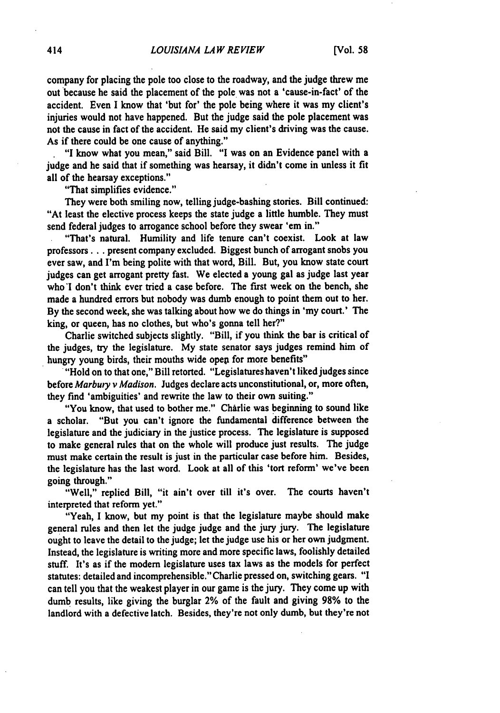company for placing the pole too close to the roadway, and the judge threw me out because he said the placement of the pole was not a 'cause-in-fact' of the accident. Even **I** know that 'but for' the pole being where it was my client's injuries would not have happened. But the judge said the pole placement was not the cause in fact of the accident. He said my client's driving was the cause. As if there could be one cause of anything."

**"I**know what you mean," said Bill. **"I**was on an Evidence panel with a judge and he said that if something was hearsay, it didn't come in unless it fit all of the hearsay exceptions."

"That simplifies evidence."

They were both smiling now, telling judge-bashing stories. Bill continued: "At least the elective process keeps the state judge a little humble. They must send federal judges to arrogance school before they swear 'em in."

"That's natural. Humility and life tenure can't coexist. Look at law professors.., present company excluded. Biggest bunch of arrogant snobs you ever saw, and I'm being polite with that word, Bill. But, you know state court judges can get arrogant pretty fast. We elected a young gal as judge last year **who'l** don't think ever tried a case before. The first week on the bench, she made a hundred errors but nobody was dumb enough to point them out to her. **By** the second week, she was talking about how we do things in 'my court.' The king, or queen, has no clothes, but who's gonna tell her?"

Charlie switched subjects slightly. "Bill, if you think the bar is critical of the judges, **try** the legislature. **My** state senator says judges remind him of

hungry young birds, their mouths wide open for more benefits"<br>"Hold on to that one," Bill retorted. "Legislatures haven't liked judges since" before *Marbuty v Madison.* Judges declare acts unconstitutional, or, more often, they find 'ambiguities' and rewrite the law to their own suiting."

"You know, that used to bother me." Charlie was beginning to sound like a scholar. "But you can't ignore the fundamental difference between the legislature and the judiciary in the justice process. The legislature is supposed to make general rules that on the whole will produce just results. The judge must make certain the result is just in the particular case before him. Besides, the legislature has the last word. Look at all of this 'tort reform' we've been going through."

"Well," replied Bill, "it ain't over till it's over. The courts haven't interpreted that reform yet."

"Yeah, **I** know, but my point is that the legislature maybe should make general rules and then let the judge judge and the jury jury. The legislature ought to leave the detail to the judge; let the judge use his or her own judgment. Instead, the legislature is writing more and more specific laws, foolishly detailed stuff. It's as if the modem legislature uses tax laws as the models for perfect statutes: detailed and incomprehensible." Charlie pressed on, switching gears. **"I**  can tell you that the weakest player in our game is the jury. They come up with dumb results, like giving the burglar 2% of the fault and giving **98%** to the landlord with a defective latch. Besides, they're not only dumb, but they're not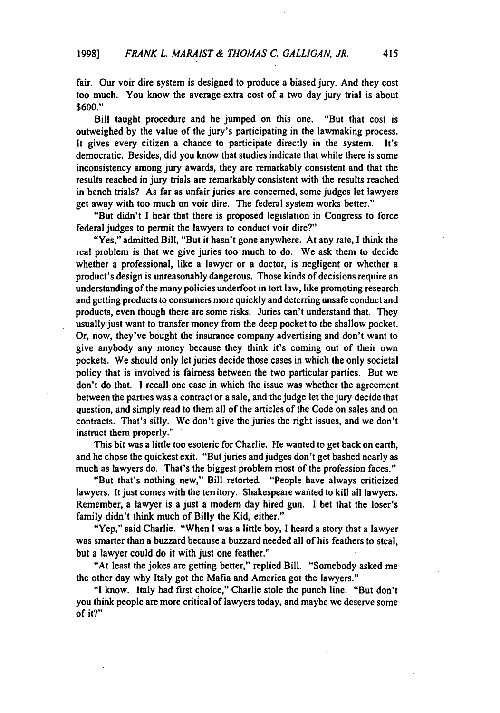fair. Our voir dire system is designed to produce a biased jury. And they cost too much. You know the average extra cost of a two day jury trial is about **\$600."** 

Bill taught procedure and he jumped on this one. "But that cost is outweighed **by** the value of the jury's participating in the lawmaking process. It gives every citizen a chance to participate directly in the system. It's democratic. Besides, did you know that studies indicate that while there is some inconsistency among jury awards, they are remarkably consistent and that the results reached in jury trials are remarkably consistent with the results reached in bench trials? As far as unfair juries are concerned, some judges let lawyers get away with too much on voir dire. The federal system works better."

"But didn't I hear that there is proposed legislation in Congress to force federal judges to permit the lawyers to conduct voir dire?"

"Yes," admitted Bill, "But it hasn't gone anywhere. At any rate, I think the real problem is that we give juries too much to do. We ask them to decide whether a professional, like a lawyer or a doctor, is negligent or whether a product's design is unreasonably dangerous. Those kinds of decisions require an understanding of the many policies underfoot in tort law, like promoting research and getting products to consumers more quickly and deterring unsafe conduct and products, even though there are some risks. Juries can't understand that. They usually just want to transfer money from the deep pocket to the shallow pocket. Or, now, they've bought the insurance company advertising and don't want to give anybody any money because they think it's coming out of their own pockets. We should only let juries decide those cases in which the only societal policy that is involved is fairness between the two particular parties. But we don't do that. I recall one case in which the issue was whether the agreement between the parties was a contract or a sale, and the judge let the jury decide that question, and simply read to them all of the articles of the Code on sales and on contracts. That's silly. We don't give the juries the right issues, and we don't instruct them properly."

This bit was a little too esoteric for Charlie. He wanted to get back on earth, and he chose the quickest exit. "But juries and judges don't get bashed nearly as much as lawyers do. That's the biggest problem most of the profession faces."

"But that's nothing new," Bill retorted. "People have always criticized lawyers. It just comes with the territory. Shakespeare wanted to kill all lawyers. Remember, a lawyer is a just a modem day hired gun. I bet that the loser's family didn't think much of Billy the Kid, either."

"Yep," said Charlie. "When **I** was a little boy, **I** heard a story that a lawyer was smarter than a buzzard because a buzzard needed all of his feathers to steal, but a lawyer could do it with just one feather."

"At least the jokes are getting better," replied Bill. "Somebody asked me the other day why Italy got the Mafia and America got the lawyers."

**"I** know. Italy had first choice," Charlie stole the punch line. "But don't you think people are more critical of lawyers today, and maybe we deserve some **of** it?"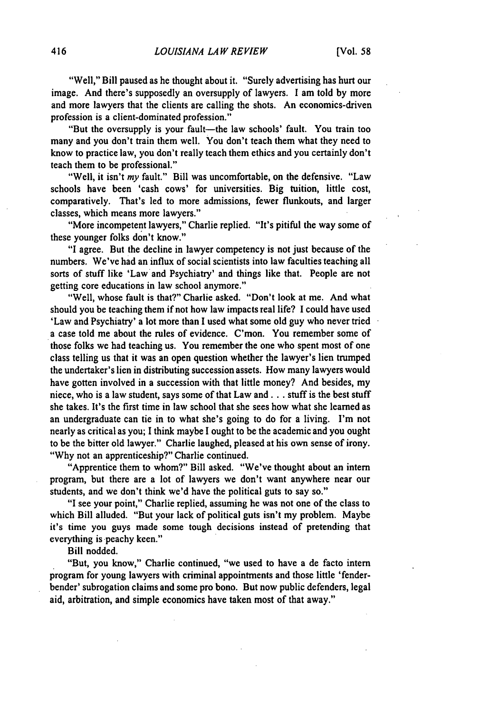"Well," Bill paused as he thought about it. "Surely advertising has hurt our image. And there's supposedly an oversupply of lawyers. **I** am told **by** more and more lawyers that the clients are calling the shots. An economics-driven profession is a client-dominated profession."

"But the oversupply is your fault-the law schools' fault. You train too many and you don't train them well. You don't teach them what they need to know to practice law, you don't really teach them ethics and you certainly don't teach them to be professional."

"Well, it isn't *my* fault." Bill was uncomfortable, on the defensive. "Law schools have been 'cash cows' for universities. Big tuition, little cost, comparatively. That's led to more admissions, fewer flunkouts, and larger classes, which means more lawyers."

"More incompetent lawyers," Charlie replied. "It's pitiful the way some of these younger folks don't know."

"I agree. But the decline in lawyer competency is not just because of the numbers. We've had an influx of social scientists into law faculties teaching all sorts of stuff like 'Law and Psychiatry' and things like that. People are not getting core educations in law school anymore."

"Well, whose fault is that?" Charlie asked. "Don't look at me. And what should you be teaching them if not how law impacts real life? **I** could have used 'Law and Psychiatry' a lot more than **I** used what some old guy who never tried a case told me about the rules of evidence. C'mon. You remember some of those folks we had teaching us. You remember the one who spent most of one class telling us that it was an open question whether the lawyer's lien trumped the undertaker's lien in distributing succession assets. How many lawyers would have gotten involved in a succession with that little money? And besides, my niece, who is a law student, says some of that Law and.., stuff is the best stuff she takes. It's the first time in law school that she sees how what she learned as an undergraduate can tie in to what she's going to do for a living. I'm not nearly as critical as you; **I** think maybe **I**ought to be the academic and you ought to be the bitter old lawyer." Charlie laughed, pleased at his own sense of irony. "Why not an apprenticeship?" Charlie continued.

"Apprentice them to whom?" Bill asked. "We've thought about an intern program, but there are a lot of lawyers we don't want anywhere near our students, and we don't think we'd have the political guts to say so."

**"I** see your point," Charlie replied, assuming he was not one of the class to which Bill alluded. "But your lack of political guts isn't my problem. Maybe it's time you guys made some tough decisions instead of pretending that everything is peachy keen."

Bill nodded.

"But, you know," Charlie continued, "we used to have a de facto intern program for young lawyers with criminal appointments and those little 'fenderbender' subrogation claims and some pro bono. But now public defenders, legal aid, arbitration, and simple economics have taken most of that away."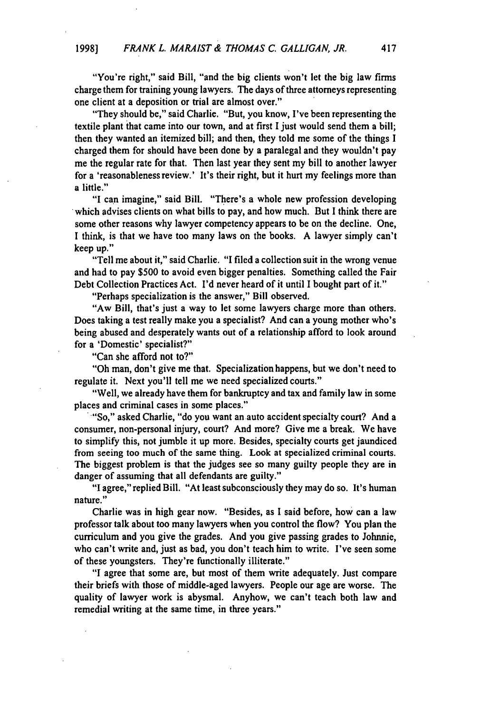"You're right," said Bill, "and the big clients won't let the big law firms charge them for training young lawyers. The days of three attorneys representing one client at a deposition or trial are almost over."

"They should be," said Charlie. "But, you know, I've been representing the textile plant that came into our town, and at first **I**just would send them a bill; then they wanted an itemized bill; and then, they told me some of the things **I**  charged them for should have been done **by** a paralegal and they wouldn't pay me the regular rate for that. Then last year they sent my bill to another lawyer for a 'reasonableness review.' It's their right, but it hurt my feelings more than a little."

**"I** can imagine," said Bill. "There's a whole new profession developing which advises clients on what bills to pay, and how much. But **I** think there are some other reasons why lawyer competency appears to be on the decline. One, **I** think, is that we have too many laws on the books. **A** lawyer simply can't keep up."

"Tell me about it," said Charlie. "I filed a collection suit in the wrong venue and had to pay **\$500** to avoid even bigger penalties. Something called the Fair Debt Collection Practices Act. I'd never heard of it until **I** bought part of it."

"Perhaps specialization is the answer," Bill observed.

"Aw Bill, that's just a way to let some lawyers charge more than others. Does taking a test really make you a specialist? And can a young mother who's being abused and desperately wants out of a relationship afford to look around for a 'Domestic' specialist?"

"Can she afford not to?"

"Oh man, don't give me that. Specialization happens, but we don't need to regulate it. Next you'll tell me we need specialized courts."

"Well, we already have them for bankruptcy and tax and family law in some places and criminal cases in some places."<br>"So," asked Charlie, "do you want an auto accident specialty court? And a

consumer, non-personal injury, court? And more? Give me a break. We have to simplify this, not jumble it up more. Besides, specialty courts get jaundiced from seeing too much of the same thing. Look at specialized criminal courts. The biggest problem is that the judges see so many guilty people they are in danger of assuming that all defendants are guilty."

**"I**agree," replied Bill. "At least subconsciously they may do so. It's human nature."

Charlie was in high gear now. "Besides, as **I** said before, how can a law professor talk about too many lawyers when you control the flow? You plan the curriculum and you give the grades. And you give passing grades to Johnnie, who can't write and, just as bad, you don't teach him to write. I've seen some of these youngsters. They're functionally illiterate."

**"I** agree that some are, but most of them write adequately. Just compare their briefs with those of middle-aged lawyers. People our age are worse. The quality of lawyer work is abysmal. Anyhow, we can't teach both law and remedial writing at the same time, in three years."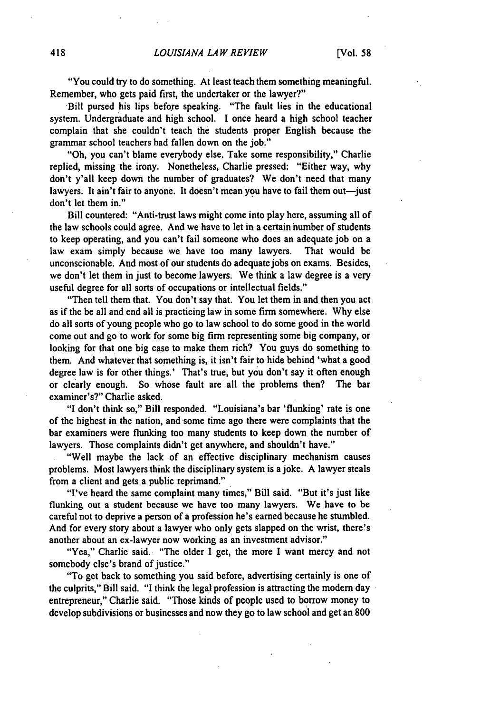"You could try to do something. At least teach them something meaningful. Remember, who gets paid first, the undertaker or the lawyer?"

Bill pursed his lips before speaking. "The fault lies in the educational system. Undergraduate and high school. **I** once heard a high school teacher complain that she couldn't teach the students proper English because the grammar school teachers had fallen down on the **job."** 

"Oh, you can't blame everybody else. Take some responsibility," Charlie replied, missing the irony. Nonetheless, Charlie pressed: "Either way, why don't y'all keep down the number of graduates? We don't need that many lawyers. It ain't fair to anyone. It doesn't mean you have to fail them out—just don't let them in."

Bill countered: "Anti-trust laws might come into play here, assuming all of the law schools could agree. And we have to let in a certain number of students to keep operating, and you can't fail someone who does an adequate **job** on a law exam simply because we have too many lawyers. That would be unconscionable. And most of our students do adequate jobs on exams. Besides, we don't let them in just to become lawyers. We think a law degree is a very useful degree for all sorts of occupations or intellectual fields."

"Then tell them that. You don't say that. You let them in and then you act as if the be all and end all is practicing law in some firm somewhere. **Why** else do all sorts of young people who go to law school to do some good in the world come out and go to work for some big firm representing some big company, or looking for that one big case to make them rich? You guys do something to them. And whatever that something is, it isn't fair to hide behind 'what a good degree law is for other things.' That's true, but you don't say it often enough or clearly enough. So whose fault are all the problems then? The bar examiner's?" Charlie asked.

"I don't think so," Bill responded. "Louisiana's bar 'flunking' rate is one of the highest in the nation, and some time ago there were complaints that the bar examiners were flunking too many students to keep down the number of lawyers. Those complaints didn't get anywhere, and shouldn't have."

"Well maybe the lack of an effective disciplinary mechanism causes problems. Most lawyers think the disciplinary system is a joke. **A** lawyer steals from a client and gets a public reprimand."

"I've heard the same complaint many times," Bill said. "But it's just like flunking out a student because we have too many lawyers. We have to be careful not to deprive a person of a profession he's earned because he stumbled. And for every story about a lawyer who only gets slapped on the wrist, there's another about an ex-lawyer now working as an investment advisor."

"Yea," Charlie said. "The older **I** get, the more **I** want mercy and not somebody else's brand of justice."

"To get back to something you said before, advertising certainly is one of the culprits," Bill said. **"I**think the legal profession is attracting the modem day entrepreneur," Charlie said. "Those kinds of people used to borrow money to develop subdivisions or businesses and now they go to law school and get an **800**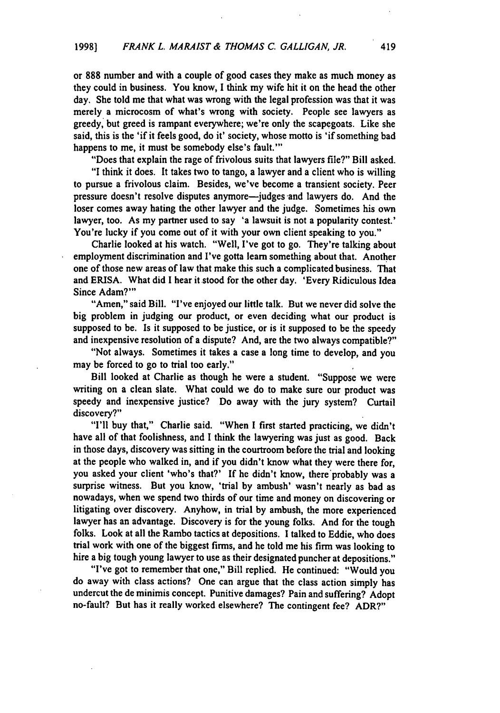or **888** number and with a couple of good cases they make as much money as they could in business. You know, **I** think my wife hit it on the head the other day. She told me that what was wrong with the legal profession was that it was merely a microcosm of what's wrong with society. People see lawyers as greedy, but greed is rampant everywhere; we're only the scapegoats. Like she said, this is the 'if it feels good, do it' society, whose motto is 'if something bad happens to me, it must be somebody else's fault."'

"Does that explain the rage of frivolous suits that lawyers file?" Bill asked. "I think it does. It takes two to tango, a lawyer and a client who is willing to pursue a frivolous claim. Besides, we've become a transient society. Peer pressure doesn't resolve disputes anymore—judges and lawyers do. And the loser comes away hating the other lawyer and the judge. Sometimes his own lawyer, too. As my partner used to say 'a lawsuit is not a popularity contest.' You're lucky if you come out of it with your own client speaking to you."

Charlie looked at his watch. "Well, I've got to go. They're talking about employment discrimination and I've gotta learn something about that. Another one of those new areas of law that make this such a complicated business. That and ERISA. What did **I** hear it stood for the other day. 'Every Ridiculous Idea Since Adam?"'

"Amen," said Bill. "I've enjoyed our little talk. But we never did solve the big problem in judging our product, or even deciding what our product is supposed to be. Is it supposed to be justice, or is it supposed to be the speedy and inexpensive resolution of a dispute? And, are the two always compatible?"

"Not always. Sometimes it takes a case a long time to develop, and you may be forced to go to trial too early."

Bill looked at Charlie as though he were a student. "Suppose we were writing on a clean slate. What could we do to make sure our product was speedy and inexpensive justice? Do away with the jury system? Curtail discovery?"

**"I'll** buy that," Charlie said. "When **I** first started practicing, we didn't have all of that foolishness, and **I** think the lawyering was just as good. Back in those days, discovery was sitting in the courtroom before the trial and looking at the people who walked in, and if you didn't know what they were there for, you asked your client 'who's that?' **If** he didn't know, there'probably was a surprise witness. But you know, 'trial **by** ambush' wasn't nearly as bad as nowadays, when we spend two thirds of our time and money on discovering or litigating over discovery. Anyhow, in trial **by** ambush, the more experienced lawyer has an advantage. Discovery is for the young folks. And for the tough folks. Look at all the Rambo tactics at depositions. **I** talked to Eddie, who does trial work with one of the biggest firms, and he told me his firm was looking to hire a big tough young lawyer to use as their designated puncher at depositions."

"I've got to remember that one," Bill replied. He continued: "Would you do away with class actions? One can argue that the class action simply has undercut the de minimis concept. Punitive damages? Pain and suffering? Adopt no-fault? But has it really worked elsewhere? The contingent fee? **ADR?"**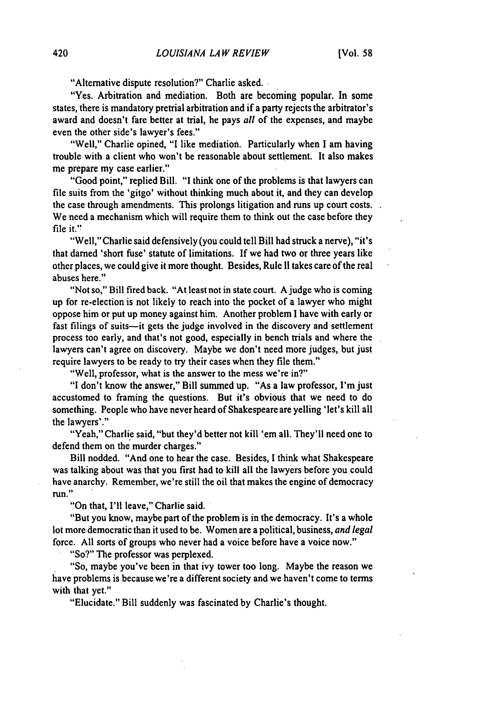"Alternative dispute resolution?" Charlie asked.

"Yes. Arbitration and mediation. Both are becoming popular. In some states, there is mandatory pretrial arbitration and if a party rejects the arbitrator's award and doesn't fare better at trial, he pays *all* of the expenses, and maybe even the other side's lawyer's fees."

"Well," Charlie opined, **"I**like mediation. Particularly when **I** am having trouble with a client who won't be reasonable about settlement. It also makes me prepare my case earlier."

"Good point," replied Bill. **"I**think one of the problems is that lawyers can file suits from the 'gitgo' without thinking much about it, and they can develop the case through amendments. This prolongs litigation and runs up court costs. We need a mechanism which will require them to think out the case before they file it."

"Well," Charlie said defensively (you could tell Bill had struck a nerve), "it's that darned 'short fuse' statute of limitations. If we had two or three years like other places, we could give it more thought. Besides, Rule **11** takes care ofthe real abuses here."

"Not so," Bill fired back. "At least not in state court. A judge who is coming up for re-election is not likely to reach into the pocket of a lawyer who might oppose him or put up money against him. Another problem **I** have with early or fast filings of suits-it gets the judge involved in the discovery and settlement process too early, and that's not good, especially in bench trials and where the lawyers can't agree on discovery. Maybe we don't need more judges, but just require lawyers to be ready to try their cases when they file them."

"Well, professor, what is the answer to the mess we're in?"

**"I**don't know the answer," Bill summed up. "As a law professor, I'm **just**  accustomed to framing the questions. But it's obvious that we need to do something. People who have never heard of Shakespeare are yelling 'let's kill all the lawyers'."

"Yeah," Charlie said, "but they'd better not kill 'em all. They'll need one to defend them on the murder charges."

Bill nodded. "And one to hear the case. Besides, **I** think what Shakespeare was talking about was that you first had to kill all the lawyers before you could have anarchy. Remember, we're still the oil that makes the engine of democracy run."

"On that, **I'll** leave," Charlie said.

"But you know, maybe part of the problem is in the democracy. It's a whole lot more democratic than it used to be. Women are a political, business, and legal force. **All** sorts of groups who never had a voice before have a voice now."

"So?" The professor was perplexed.

"So, maybe you've been in that ivy tower too long. Maybe the reason we have problems is because we're a different society and we haven't come to terms with that yet."

"Elucidate." Bill suddenly was fascinated **by** Charlie's thought.